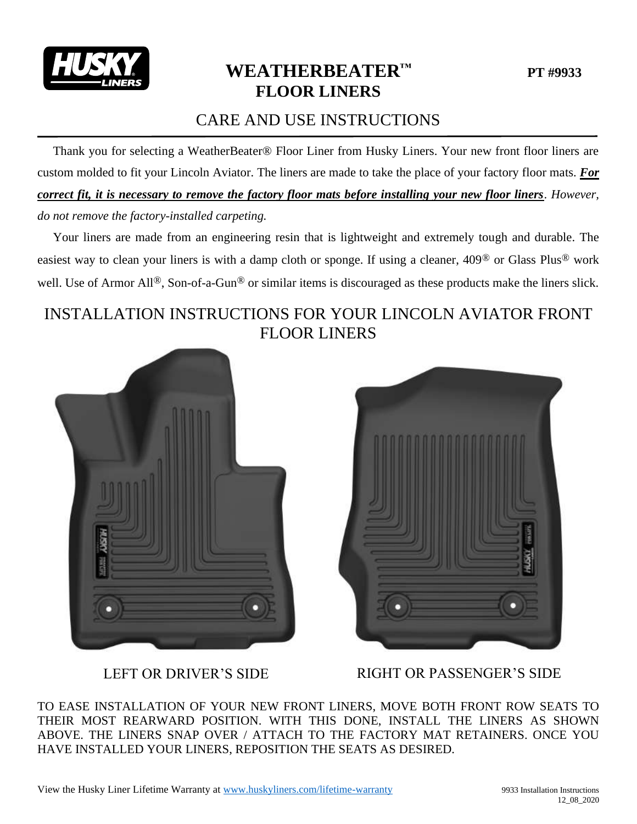

# **WEATHERBEATER™ PT #9933 FLOOR LINERS**

### CARE AND USE INSTRUCTIONS

 Thank you for selecting a WeatherBeater® Floor Liner from Husky Liners. Your new front floor liners are custom molded to fit your Lincoln Aviator. The liners are made to take the place of your factory floor mats. *For correct fit, it is necessary to remove the factory floor mats before installing your new floor liners*. *However, do not remove the factory-installed carpeting.*

 Your liners are made from an engineering resin that is lightweight and extremely tough and durable. The easiest way to clean your liners is with a damp cloth or sponge. If using a cleaner, 409® or Glass Plus® work well. Use of Armor All<sup>®</sup>, Son-of-a-Gun<sup>®</sup> or similar items is discouraged as these products make the liners slick.

## INSTALLATION INSTRUCTIONS FOR YOUR LINCOLN AVIATOR FRONT FLOOR LINERS





LEFT OR DRIVER'S SIDE RIGHT OR PASSENGER'S SIDE

TO EASE INSTALLATION OF YOUR NEW FRONT LINERS, MOVE BOTH FRONT ROW SEATS TO THEIR MOST REARWARD POSITION. WITH THIS DONE, INSTALL THE LINERS AS SHOWN ABOVE. THE LINERS SNAP OVER / ATTACH TO THE FACTORY MAT RETAINERS. ONCE YOU HAVE INSTALLED YOUR LINERS, REPOSITION THE SEATS AS DESIRED.